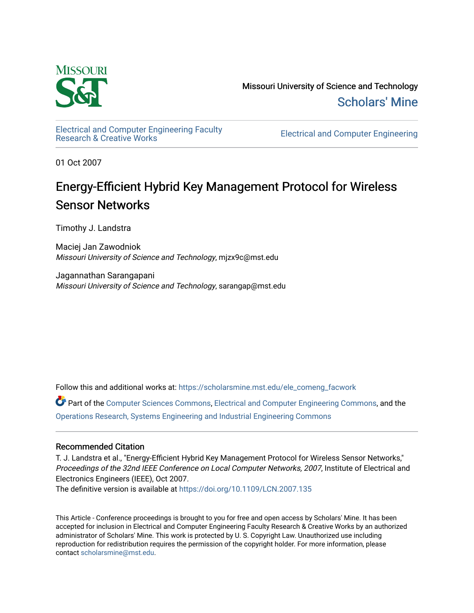

Missouri University of Science and Technology [Scholars' Mine](https://scholarsmine.mst.edu/) 

[Electrical and Computer Engineering Faculty](https://scholarsmine.mst.edu/ele_comeng_facwork)

**Electrical and Computer Engineering** 

01 Oct 2007

## Energy-Efficient Hybrid Key Management Protocol for Wireless Sensor Networks

Timothy J. Landstra

Maciej Jan Zawodniok Missouri University of Science and Technology, mjzx9c@mst.edu

Jagannathan Sarangapani Missouri University of Science and Technology, sarangap@mst.edu

Follow this and additional works at: [https://scholarsmine.mst.edu/ele\\_comeng\\_facwork](https://scholarsmine.mst.edu/ele_comeng_facwork?utm_source=scholarsmine.mst.edu%2Fele_comeng_facwork%2F1014&utm_medium=PDF&utm_campaign=PDFCoverPages)

Part of the [Computer Sciences Commons](http://network.bepress.com/hgg/discipline/142?utm_source=scholarsmine.mst.edu%2Fele_comeng_facwork%2F1014&utm_medium=PDF&utm_campaign=PDFCoverPages), [Electrical and Computer Engineering Commons,](http://network.bepress.com/hgg/discipline/266?utm_source=scholarsmine.mst.edu%2Fele_comeng_facwork%2F1014&utm_medium=PDF&utm_campaign=PDFCoverPages) and the [Operations Research, Systems Engineering and Industrial Engineering Commons](http://network.bepress.com/hgg/discipline/305?utm_source=scholarsmine.mst.edu%2Fele_comeng_facwork%2F1014&utm_medium=PDF&utm_campaign=PDFCoverPages)

### Recommended Citation

T. J. Landstra et al., "Energy-Efficient Hybrid Key Management Protocol for Wireless Sensor Networks," Proceedings of the 32nd IEEE Conference on Local Computer Networks, 2007, Institute of Electrical and Electronics Engineers (IEEE), Oct 2007.

The definitive version is available at <https://doi.org/10.1109/LCN.2007.135>

This Article - Conference proceedings is brought to you for free and open access by Scholars' Mine. It has been accepted for inclusion in Electrical and Computer Engineering Faculty Research & Creative Works by an authorized administrator of Scholars' Mine. This work is protected by U. S. Copyright Law. Unauthorized use including reproduction for redistribution requires the permission of the copyright holder. For more information, please contact [scholarsmine@mst.edu](mailto:scholarsmine@mst.edu).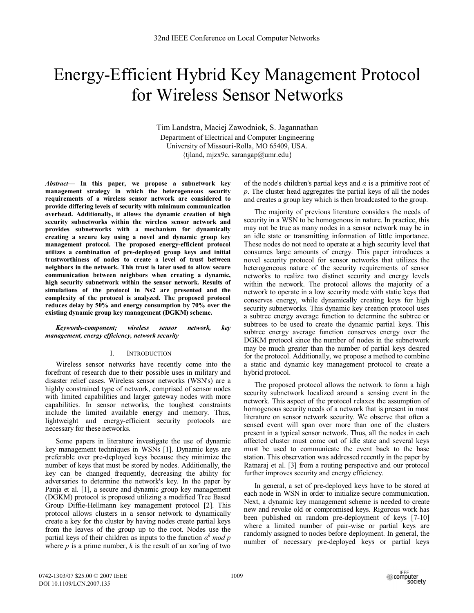# Energy-Efficient Hybrid Key Management Protocol for Wireless Sensor Networks

Tim Landstra, Maciej Zawodniok, S. Jagannathan Department of Electrical and Computer Engineering University of Missouri-Rolla, MO 65409, USA.  ${tiland, mjzx9c, sarangap@umr.edu}$ 

*Abstract***— In this paper, we propose a subnetwork key management strategy in which the heterogeneous security requirements of a wireless sensor network are considered to provide differing levels of security with minimum communication overhead. Additionally, it allows the dynamic creation of high security subnetworks within the wireless sensor network and provides subnetworks with a mechanism for dynamically creating a secure key using a novel and dynamic group key management protocol. The proposed energy-efficient protocol utilizes a combination of pre-deployed group keys and initial trustworthiness of nodes to create a level of trust between neighbors in the network. This trust is later used to allow secure communication between neighbors when creating a dynamic, high security subnetwork within the sensor network. Results of simulations of the protocol in Ns2 are presented and the complexity of the protocol is analyzed. The proposed protocol reduces delay by 50% and energy consumption by 70% over the existing dynamic group key management (DGKM) scheme.** 

*Keywords-component; wireless sensor network, key management, energy efficiency, network security* 

#### I. INTRODUCTION

Wireless sensor networks have recently come into the forefront of research due to their possible uses in military and disaster relief cases. Wireless sensor networks (WSN's) are a highly constrained type of network, comprised of sensor nodes with limited capabilities and larger gateway nodes with more capabilities. In sensor networks, the toughest constraints include the limited available energy and memory. Thus, lightweight and energy-efficient security protocols are necessary for these networks.

Some papers in literature investigate the use of dynamic key management techniques in WSNs [1]. Dynamic keys are preferable over pre-deployed keys because they minimize the number of keys that must be stored by nodes. Additionally, the key can be changed frequently, decreasing the ability for adversaries to determine the network's key. In the paper by Panja et al. [1], a secure and dynamic group key management (DGKM) protocol is proposed utilizing a modified Tree Based Group Diffie-Hellmann key management protocol [2]. This protocol allows clusters in a sensor network to dynamically create a key for the cluster by having nodes create partial keys from the leaves of the group up to the root. Nodes use the partial keys of their children as inputs to the function  $\alpha^k$  mod p where  $p$  is a prime number,  $k$  is the result of an xor'ing of two

of the node's children's partial keys and  $\alpha$  is a primitive root of *p*. The cluster head aggregates the partial keys of all the nodes and creates a group key which is then broadcasted to the group.

The majority of previous literature considers the needs of security in a WSN to be homogenous in nature. In practice, this may not be true as many nodes in a sensor network may be in an idle state or transmitting information of little importance. These nodes do not need to operate at a high security level that consumes large amounts of energy. This paper introduces a novel security protocol for sensor networks that utilizes the heterogeneous nature of the security requirements of sensor networks to realize two distinct security and energy levels within the network. The protocol allows the majority of a network to operate in a low security mode with static keys that conserves energy, while dynamically creating keys for high security subnetworks. This dynamic key creation protocol uses a subtree energy average function to determine the subtree or subtrees to be used to create the dynamic partial keys. This subtree energy average function conserves energy over the DGKM protocol since the number of nodes in the subnetwork may be much greater than the number of partial keys desired for the protocol. Additionally, we propose a method to combine a static and dynamic key management protocol to create a hybrid protocol.

The proposed protocol allows the network to form a high security subnetwork localized around a sensing event in the network. This aspect of the protocol relaxes the assumption of homogenous security needs of a network that is present in most literature on sensor network security. We observe that often a sensed event will span over more than one of the clusters present in a typical sensor network. Thus, all the nodes in each affected cluster must come out of idle state and several keys must be used to communicate the event back to the base station. This observation was addressed recently in the paper by Ratnaraj et al. [3] from a routing perspective and our protocol further improves security and energy efficiency.

In general, a set of pre-deployed keys have to be stored at each node in WSN in order to initialize secure communication. Next, a dynamic key management scheme is needed to create new and revoke old or compromised keys. Rigorous work has been published on random pre-deployment of keys [7-10] where a limited number of pair-wise or partial keys are randomly assigned to nodes before deployment. In general, the number of necessary pre-deployed keys or partial keys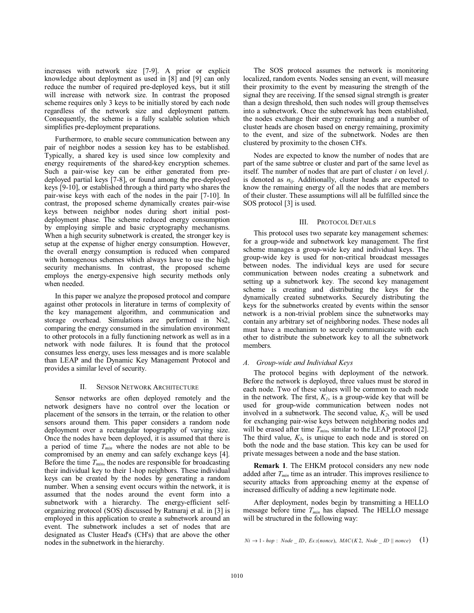increases with network size [7-9]. A prior or explicit knowledge about deployment as used in [8] and [9] can only reduce the number of required pre-deployed keys, but it still will increase with network size. In contrast the proposed scheme requires only 3 keys to be initially stored by each node regardless of the network size and deployment pattern. Consequently, the scheme is a fully scalable solution which simplifies pre-deployment preparations.

Furthermore, to enable secure communication between any pair of neighbor nodes a session key has to be established. Typically, a shared key is used since low complexity and energy requirements of the shared-key encryption schemes. Such a pair-wise key can be either generated from predeployed partial keys [7-8], or found among the pre-deployed keys [9-10], or established through a third party who shares the pair-wise keys with each of the nodes in the pair [7-10]. In contrast, the proposed scheme dynamically creates pair-wise keys between neighbor nodes during short initial postdeployment phase. The scheme reduced energy consumption by employing simple and basic cryptography mechanisms. When a high security subnetwork is created, the stronger key is setup at the expense of higher energy consumption. However, the overall energy consumption is reduced when compared with homogenous schemes which always have to use the high security mechanisms. In contrast, the proposed scheme employs the energy-expensive high security methods only when needed.

In this paper we analyze the proposed protocol and compare against other protocols in literature in terms of complexity of the key management algorithm, and communication and storage overhead. Simulations are performed in Ns2, comparing the energy consumed in the simulation environment to other protocols in a fully functioning network as well as in a network with node failures. It is found that the protocol consumes less energy, uses less messages and is more scalable than LEAP and the Dynamic Key Management Protocol and provides a similar level of security.

#### II. SENSOR NETWORK ARCHITECTURE

Sensor networks are often deployed remotely and the network designers have no control over the location or placement of the sensors in the terrain, or the relation to other sensors around them. This paper considers a random node deployment over a rectangular topography of varying size. Once the nodes have been deployed, it is assumed that there is a period of time  $T_{min}$  where the nodes are not able to be compromised by an enemy and can safely exchange keys [4]. Before the time  $T_{min}$ , the nodes are responsible for broadcasting their individual key to their 1-hop neighbors. These individual keys can be created by the nodes by generating a random number. When a sensing event occurs within the network, it is assumed that the nodes around the event form into a subnetwork with a hierarchy. The energy-efficient selforganizing protocol (SOS) discussed by Ratnaraj et al. in [3] is employed in this application to create a subnetwork around an event. The subnetwork includes a set of nodes that are designated as Cluster Head's (CH's) that are above the other nodes in the subnetwork in the hierarchy.

The SOS protocol assumes the network is monitoring localized, random events. Nodes sensing an event, will measure their proximity to the event by measuring the strength of the signal they are receiving. If the sensed signal strength is greater than a design threshold, then such nodes will group themselves into a subnetwork. Once the subnetwork has been established, the nodes exchange their energy remaining and a number of cluster heads are chosen based on energy remaining, proximity to the event, and size of the subnetwork. Nodes are then clustered by proximity to the chosen CH's.

Nodes are expected to know the number of nodes that are part of the same subtree or cluster and part of the same level as itself. The number of nodes that are part of cluster *i* on level *j*. is denoted as  $n_{ij}$ . Additionally, cluster heads are expected to know the remaining energy of all the nodes that are members of their cluster. These assumptions will all be fulfilled since the SOS protocol [3] is used.

#### III. PROTOCOL DETAILS

This protocol uses two separate key management schemes: for a group-wide and subnetwork key management. The first scheme manages a group-wide key and individual keys. The group-wide key is used for non-critical broadcast messages between nodes. The individual keys are used for secure communication between nodes creating a subnetwork and setting up a subnetwork key. The second key management scheme is creating and distributing the keys for the dynamically created subnetworks. Securely distributing the keys for the subnetworks created by events within the sensor network is a non-trivial problem since the subnetworks may contain any arbitrary set of neighboring nodes. These nodes all must have a mechanism to securely communicate with each other to distribute the subnetwork key to all the subnetwork members.

#### *A. Group-wide and Individual Keys*

The protocol begins with deployment of the network. Before the network is deployed, three values must be stored in each node. Two of these values will be common to each node in the network. The first,  $K_l$ , is a group-wide key that will be used for group-wide communication between nodes not involved in a subnetwork. The second value,  $K_2$ , will be used for exchanging pair-wise keys between neighboring nodes and will be erased after time  $T_{min}$ , similar to the LEAP protocol [2]. The third value,  $K_3$ , is unique to each node and is stored on both the node and the base station. This key can be used for private messages between a node and the base station.

**Remark 1**. The EHKM protocol considers any new node added after  $T_{min}$  time as an intruder. This improves resilience to security attacks from approaching enemy at the expense of increased difficulty of adding a new legitimate node.

After deployment, nodes begin by transmitting a HELLO message before time *Tmin* has elapsed. The HELLO message will be structured in the following way:

```
Ni \rightarrow 1 - hop : Node ID, Ex_2(nonce), MAC(K2, NodeID \parallel nonce) (1)
```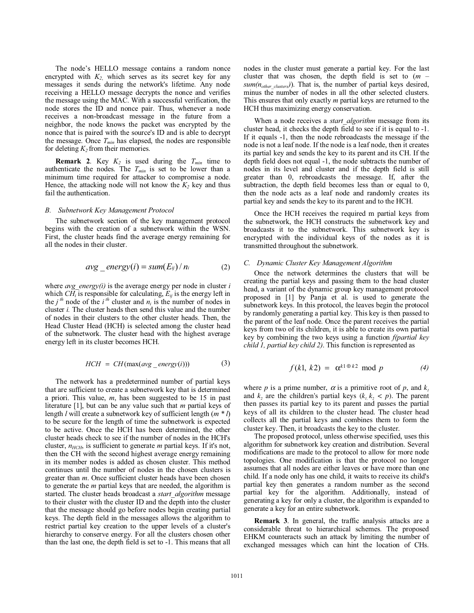The node's HELLO message contains a random nonce encrypted with  $K_2$ , which serves as its secret key for any messages it sends during the network's lifetime. Any node receiving a HELLO message decrypts the nonce and verifies the message using the MAC. With a successful verification, the node stores the ID and nonce pair. Thus, whenever a node receives a non-broadcast message in the future from a neighbor, the node knows the packet was encrypted by the nonce that is paired with the source's ID and is able to decrypt the message. Once *Tmin* has elapsed, the nodes are responsible for deleting  $K_2$  from their memories.

**Remark 2.** Key  $K_2$  is used during the  $T_{min}$  time to authenticate the nodes. The  $T_{min}$  is set to be lower than a minimum time required for attacker to compromise a node. Hence, the attacking node will not know the  $K_2$  key and thus fail the authentication.

#### *B. Subnetwork Key Management Protocol*

The subnetwork section of the key management protocol begins with the creation of a subnetwork within the WSN. First, the cluster heads find the average energy remaining for all the nodes in their cluster.

$$
avg\_energy(i) = sum(E_{ij})/n_i \qquad (2)
$$

where *avg\_energy(i)* is the average energy per node in cluster *i* which  $CH<sub>i</sub>$  is responsible for calculating,  $E<sub>ij</sub>$  is the energy left in the  $j<sup>th</sup>$  node of the *i*<sup>th</sup> cluster and  $n<sub>i</sub>$  is the number of nodes in cluster *i.* The cluster heads then send this value and the number of nodes in their clusters to the other cluster heads. Then, the Head Cluster Head (HCH) is selected among the cluster head of the subnetwork. The cluster head with the highest average energy left in its cluster becomes HCH.

$$
HCH = CH(max(\text{avg\_energy}(i))) \tag{3}
$$

The network has a predetermined number of partial keys that are sufficient to create a subnetwork key that is determined a priori. This value, *m*, has been suggested to be 15 in past literature [1], but can be any value such that *m* partial keys of length *l* will create a subnetwork key of sufficient length (*m \* l*) to be secure for the length of time the subnetwork is expected to be active. Once the HCH has been determined, the other cluster heads check to see if the number of nodes in the HCH's cluster,  $n_{HCH}$ , is sufficient to generate *m* partial keys. If it's not, then the CH with the second highest average energy remaining in its member nodes is added as chosen cluster. This method continues until the number of nodes in the chosen clusters is greater than *m*. Once sufficient cluster heads have been chosen to generate the *m* partial keys that are needed, the algorithm is started. The cluster heads broadcast a *start\_algorithm* message to their cluster with the cluster ID and the depth into the cluster that the message should go before nodes begin creating partial keys. The depth field in the messages allows the algorithm to restrict partial key creation to the upper levels of a cluster's hierarchy to conserve energy. For all the clusters chosen other than the last one, the depth field is set to -1. This means that all

nodes in the cluster must generate a partial key. For the last cluster that was chosen, the depth field is set to (*m –*   $sum(n<sub>other-cluster</sub>)$ . That is, the number of partial keys desired, minus the number of nodes in all the other selected clusters. This ensures that only exactly *m* partial keys are returned to the HCH thus maximizing energy conservation.

When a node receives a *start* algorithm message from its cluster head, it checks the depth field to see if it is equal to -1. If it equals -1, then the node rebroadcasts the message if the node is not a leaf node. If the node is a leaf node, then it creates its partial key and sends the key to its parent and its CH. If the depth field does not equal -1, the node subtracts the number of nodes in its level and cluster and if the depth field is still greater than 0, rebroadcasts the message. If, after the subtraction, the depth field becomes less than or equal to 0, then the node acts as a leaf node and randomly creates its partial key and sends the key to its parent and to the HCH.

Once the HCH receives the required m partial keys from the subnetwork, the HCH constructs the subnetwork key and broadcasts it to the subnetwork. This subnetwork key is encrypted with the individual keys of the nodes as it is transmitted throughout the subnetwork.

#### *C. Dynamic Cluster Key Management Algorithm*

Once the network determines the clusters that will be creating the partial keys and passing them to the head cluster head, a variant of the dynamic group key management protocol proposed in [1] by Panja et al. is used to generate the subnetwork keys. In this protocol, the leaves begin the protocol by randomly generating a partial key. This key is then passed to the parent of the leaf node. Once the parent receives the partial keys from two of its children, it is able to create its own partial key by combining the two keys using a function *f(partial key child 1, partial key child 2)*. This function is represented as

$$
f(k1, k2) = \alpha^{k1 \oplus k2} \mod p \tag{4}
$$

where *p* is a prime number,  $\alpha$  is a primitive root of *p*, and  $k<sub>i</sub>$ and  $k_2$  are the children's partial keys  $(k_1, k_2 < p)$ . The parent then passes its partial key to its parent and passes the partial keys of all its children to the cluster head. The cluster head collects all the partial keys and combines them to form the cluster key. Then, it broadcasts the key to the cluster.

The proposed protocol, unless otherwise specified, uses this algorithm for subnetwork key creation and distribution. Several modifications are made to the protocol to allow for more node topologies. One modification is that the protocol no longer assumes that all nodes are either leaves or have more than one child. If a node only has one child, it waits to receive its child's partial key then generates a random number as the second partial key for the algorithm. Additionally, instead of generating a key for only a cluster, the algorithm is expanded to generate a key for an entire subnetwork.

**Remark 3**. In general, the traffic analysis attacks are a considerable threat to hierarchical schemes. The proposed EHKM counteracts such an attack by limiting the number of exchanged messages which can hint the location of CHs.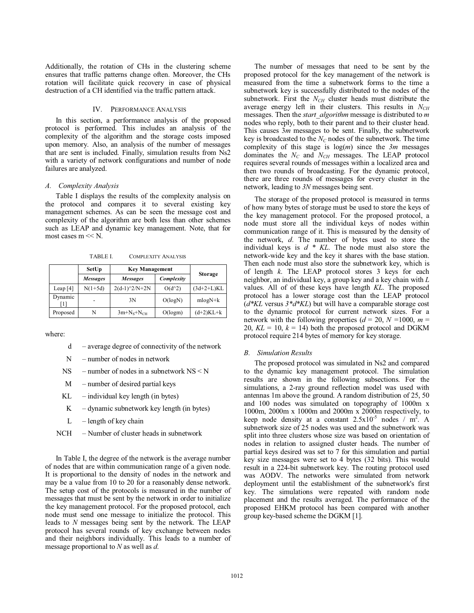Additionally, the rotation of CHs in the clustering scheme ensures that traffic patterns change often. Moreover, the CHs rotation will facilitate quick recovery in case of physical destruction of a CH identified via the traffic pattern attack.

#### IV. PERFORMANCE ANALYSIS

In this section, a performance analysis of the proposed protocol is performed. This includes an analysis of the complexity of the algorithm and the storage costs imposed upon memory. Also, an analysis of the number of messages that are sent is included. Finally, simulation results from Ns2 with a variety of network configurations and number of node failures are analyzed.

#### *A. Complexity Analysis*

Table I displays the results of the complexity analysis on the protocol and compares it to several existing key management schemes. As can be seen the message cost and complexity of the algorithm are both less than other schemes such as LEAP and dynamic key management. Note, that for most cases  $m \ll N$ .

TABLE I. COMPLEXITY ANALYSIS

|                | SetUp           |                   | <b>Key Management</b> |                |
|----------------|-----------------|-------------------|-----------------------|----------------|
|                | <b>Messages</b> | <b>Messages</b>   | Complexity            | <b>Storage</b> |
| Leap $[4]$     | $N(1+5d)$       | $2(d-1)^{2}/N+2N$ | $O(d^2)$              | $(3d+2+L)KL$   |
| Dynamic<br>[1] |                 | 3N                | O(logN)               | $mlogN+k$      |
| Proposed       |                 | $3m+NS+NCH$       | O(logm)               | $(d+2)KL+k$    |

where:

- d average degree of connectivity of the network
- N number of nodes in network
- $NS$  number of nodes in a subnetwork  $NS < N$
- M number of desired partial keys
- KL individual key length (in bytes)
- K dynamic subnetwork key length (in bytes)
- $L$  length of key chain
- NCH Number of cluster heads in subnetwork

In Table I, the degree of the network is the average number of nodes that are within communication range of a given node. It is proportional to the density of nodes in the network and may be a value from 10 to 20 for a reasonably dense network. The setup cost of the protocols is measured in the number of messages that must be sent by the network in order to initialize the key management protocol. For the proposed protocol, each node must send one message to initialize the protocol. This leads to *N* messages being sent by the network. The LEAP protocol has several rounds of key exchange between nodes and their neighbors individually. This leads to a number of message proportional to *N* as well as *d*.

The number of messages that need to be sent by the proposed protocol for the key management of the network is measured from the time a subnetwork forms to the time a subnetwork key is successfully distributed to the nodes of the subnetwork. First the  $N_{CH}$  cluster heads must distribute the average energy left in their clusters. This results in  $N_{CH}$ messages. Then the *start\_algorithm* message is distributed to *m* nodes who reply, both to their parent and to their cluster head. This causes 3*m* messages to be sent. Finally, the subnetwork key is broadcasted to the *N<sub>C</sub>* nodes of the subnetwork. The time complexity of this stage is log(*m*) since the *3m* messages dominates the  $N_c$  and  $N_{CH}$  messages. The LEAP protocol requires several rounds of messages within a localized area and then two rounds of broadcasting. For the dynamic protocol, there are three rounds of messages for every cluster in the network, leading to *3N* messages being sent.

The storage of the proposed protocol is measured in terms of how many bytes of storage must be used to store the keys of the key management protocol. For the proposed protocol, a node must store all the individual keys of nodes within communication range of it. This is measured by the density of the network, *d*. The number of bytes used to store the individual keys is *d \* KL*. The node must also store the network-wide key and the key it shares with the base station. Then each node must also store the subnetwork key, which is of length *k*. The LEAP protocol stores 3 keys for each neighbor, an individual key, a group key and a key chain with *L* values. All of of these keys have length *KL*. The proposed protocol has a lower storage cost than the LEAP protocol (*d\*KL* versus *3\*d\*KL*) but will have a comparable storage cost to the dynamic protocol for current network sizes. For a network with the following properties  $(d = 20, N = 1000, m = 1000)$ 20,  $KL = 10$ ,  $k = 14$ ) both the proposed protocol and DGKM protocol require 214 bytes of memory for key storage.

#### *B. Simulation Results*

The proposed protocol was simulated in Ns2 and compared to the dynamic key management protocol. The simulation results are shown in the following subsections. For the simulations, a 2-ray ground reflection model was used with antennas 1m above the ground. A random distribution of 25, 50 and 100 nodes was simulated on topography of 1000m x 1000m, 2000m x 1000m and 2000m x 2000m respectively, to keep node density at a constant  $2.5 \times 10^{-5}$  nodes / m<sup>2</sup>. A subnetwork size of 25 nodes was used and the subnetwork was split into three clusters whose size was based on orientation of nodes in relation to assigned cluster heads. The number of partial keys desired was set to 7 for this simulation and partial key size messages were set to 4 bytes (32 bits). This would result in a 224-bit subnetwork key. The routing protocol used was AODV. The networks were simulated from network deployment until the establishment of the subnetwork's first key. The simulations were repeated with random node placement and the results averaged. The performance of the proposed EHKM protocol has been compared with another group key-based scheme the DGKM [1].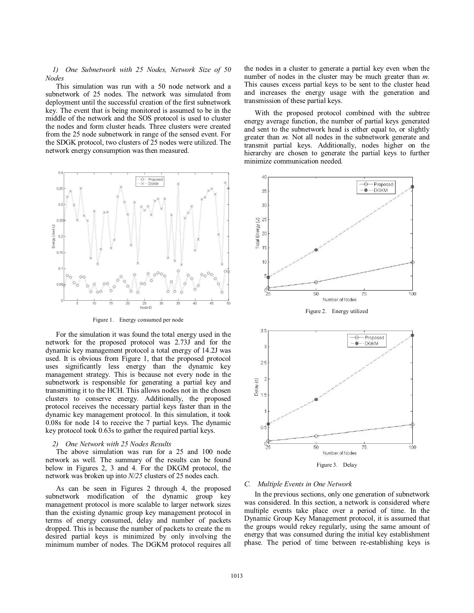*1) One Subnetwork with 25 Nodes, Network Size of 50 Nodes* 

This simulation was run with a 50 node network and a subnetwork of 25 nodes. The network was simulated from deployment until the successful creation of the first subnetwork key. The event that is being monitored is assumed to be in the middle of the network and the SOS protocol is used to cluster the nodes and form cluster heads. Three clusters were created from the 25 node subnetwork in range of the sensed event. For the SDGK protocol, two clusters of 25 nodes were utilized. The network energy consumption was then measured.



Figure 1. Energy consumed per node

For the simulation it was found the total energy used in the network for the proposed protocol was 2.73J and for the dynamic key management protocol a total energy of 14.2J was used. It is obvious from Figure 1, that the proposed protocol uses significantly less energy than the dynamic key management strategy. This is because not every node in the subnetwork is responsible for generating a partial key and transmitting it to the HCH. This allows nodes not in the chosen clusters to conserve energy. Additionally, the proposed protocol receives the necessary partial keys faster than in the dynamic key management protocol. In this simulation, it took 0.08s for node 14 to receive the 7 partial keys. The dynamic key protocol took 0.63s to gather the required partial keys.

#### *2) One Network with 25 Nodes Results*

The above simulation was run for a 25 and 100 node network as well. The summary of the results can be found below in Figures 2, 3 and 4. For the DKGM protocol, the network was broken up into *N/25* clusters of 25 nodes each.

As can be seen in Figures 2 through 4, the proposed subnetwork modification of the dynamic group key management protocol is more scalable to larger network sizes than the existing dynamic group key management protocol in terms of energy consumed, delay and number of packets dropped. This is because the number of packets to create the m desired partial keys is minimized by only involving the minimum number of nodes. The DGKM protocol requires all

the nodes in a cluster to generate a partial key even when the number of nodes in the cluster may be much greater than *m*. This causes excess partial keys to be sent to the cluster head and increases the energy usage with the generation and transmission of these partial keys.

With the proposed protocol combined with the subtree energy average function, the number of partial keys generated and sent to the subnetwork head is either equal to, or slightly greater than *m.* Not all nodes in the subnetwork generate and transmit partial keys. Additionally, nodes higher on the hierarchy are chosen to generate the partial keys to further minimize communication needed.



#### Figure 3. Delay

#### *C. Multiple Events in One Network*

In the previous sections, only one generation of subnetwork was considered. In this section, a network is considered where multiple events take place over a period of time. In the Dynamic Group Key Management protocol, it is assumed that the groups would rekey regularly, using the same amount of energy that was consumed during the initial key establishment phase. The period of time between re-establishing keys is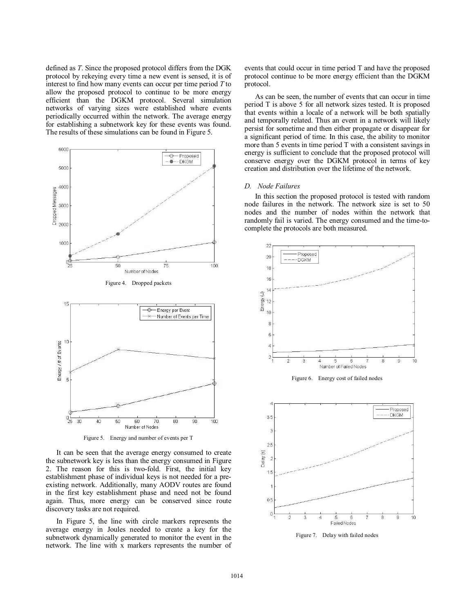defined as *T*. Since the proposed protocol differs from the DGK protocol by rekeying every time a new event is sensed, it is of interest to find how many events can occur per time period *T* to allow the proposed protocol to continue to be more energy efficient than the DGKM protocol. Several simulation networks of varying sizes were established where events periodically occurred within the network. The average energy for establishing a subnetwork key for these events was found. The results of these simulations can be found in Figure 5.



Figure 5. Energy and number of events per T

It can be seen that the average energy consumed to create the subnetwork key is less than the energy consumed in Figure 2. The reason for this is two-fold. First, the initial key establishment phase of individual keys is not needed for a preexisting network. Additionally, many AODV routes are found in the first key establishment phase and need not be found again. Thus, more energy can be conserved since route discovery tasks are not required.

In Figure 5, the line with circle markers represents the average energy in Joules needed to create a key for the subnetwork dynamically generated to monitor the event in the network. The line with x markers represents the number of events that could occur in time period T and have the proposed protocol continue to be more energy efficient than the DGKM protocol.

As can be seen, the number of events that can occur in time period T is above 5 for all network sizes tested. It is proposed that events within a locale of a network will be both spatially and temporally related. Thus an event in a network will likely persist for sometime and then either propagate or disappear for a significant period of time. In this case, the ability to monitor more than 5 events in time period T with a consistent savings in energy is sufficient to conclude that the proposed protocol will conserve energy over the DGKM protocol in terms of key creation and distribution over the lifetime of the network.

#### *D. Node Failures*

In this section the proposed protocol is tested with random node failures in the network. The network size is set to 50 nodes and the number of nodes within the network that randomly fail is varied. The energy consumed and the time-tocomplete the protocols are both measured.





Figure 7. Delay with failed nodes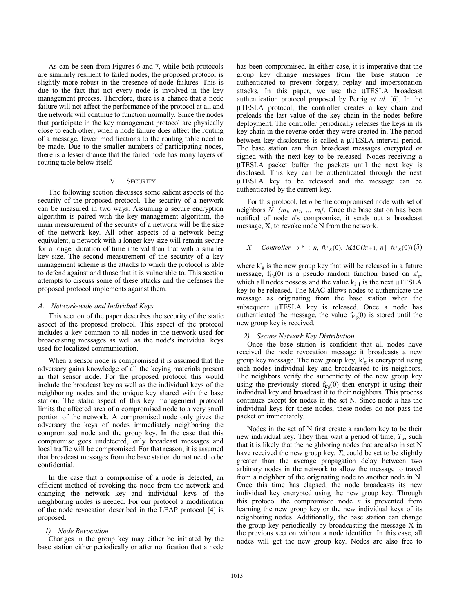As can be seen from Figures 6 and 7, while both protocols are similarly resilient to failed nodes, the proposed protocol is slightly more robust in the presence of node failures. This is due to the fact that not every node is involved in the key management process. Therefore, there is a chance that a node failure will not affect the performance of the protocol at all and the network will continue to function normally. Since the nodes that participate in the key management protocol are physically close to each other, when a node failure does affect the routing of a message, fewer modifications to the routing table need to be made. Due to the smaller numbers of participating nodes, there is a lesser chance that the failed node has many layers of routing table below itself.

#### V. SECURITY

The following section discusses some salient aspects of the security of the proposed protocol. The security of a network can be measured in two ways. Assuming a secure encryption algorithm is paired with the key management algorithm, the main measurement of the security of a network will be the size of the network key. All other aspects of a network being equivalent, a network with a longer key size will remain secure for a longer duration of time interval than that with a smaller key size. The second measurement of the security of a key management scheme is the attacks to which the protocol is able to defend against and those that it is vulnerable to. This section attempts to discuss some of these attacks and the defenses the proposed protocol implements against them.

#### *A. Network-wide and Individual Keys*

This section of the paper describes the security of the static aspect of the proposed protocol. This aspect of the protocol includes a key common to all nodes in the network used for broadcasting messages as well as the node's individual keys used for localized communication.

When a sensor node is compromised it is assumed that the adversary gains knowledge of all the keying materials present in that sensor node. For the proposed protocol this would include the broadcast key as well as the individual keys of the neighboring nodes and the unique key shared with the base station. The static aspect of this key management protocol limits the affected area of a compromised node to a very small portion of the network. A compromised node only gives the adversary the keys of nodes immediately neighboring the compromised node and the group key. In the case that this compromise goes undetected, only broadcast messages and local traffic will be compromised. For that reason, it is assumed that broadcast messages from the base station do not need to be confidential.

In the case that a compromise of a node is detected, an efficient method of revoking the node from the network and changing the network key and individual keys of the neighboring nodes is needed. For our protocol a modification of the node revocation described in the LEAP protocol [4] is proposed.

#### *1) Node Revocation*

Changes in the group key may either be initiated by the base station either periodically or after notification that a node has been compromised. In either case, it is imperative that the group key change messages from the base station be authenticated to prevent forgery, replay and impersonation attacks. In this paper, we use the μTESLA broadcast authentication protocol proposed by Perrig *et al*. [6]. In the μTESLA protocol, the controller creates a key chain and preloads the last value of the key chain in the nodes before deployment. The controller periodically releases the keys in its key chain in the reverse order they were created in. The period between key disclosures is called a μTESLA interval period. The base station can then broadcast messages encrypted or signed with the next key to be released. Nodes receiving a μTESLA packet buffer the packets until the next key is disclosed. This key can be authenticated through the next μTESLA key to be released and the message can be authenticated by the current key.

For this protocol, let *n* be the compromised node with set of neighbors  $N=\{m_1, m_2, ..., m_i\}$ . Once the base station has been notified of node *n*'s compromise, it sends out a broadcast message, X, to revoke node N from the network.

$$
X
$$
: *Controller*  $\rightarrow$ <sup>\*</sup> : *n*,  $f_k \cdot g(0)$ , *MAC*( $ki+1$ ,  $n \parallel f_k \cdot g(0)$ ) (5)

where  $k'_g$  is the new group key that will be released in a future message,  $f_{k'g}(0)$  is a pseudo random function based on  $k'_{g}$ , which all nodes possess and the value  $k_{i+1}$  is the next  $\mu$ TESLA key to be released. The MAC allows nodes to authenticate the message as originating from the base station when the subsequent μTESLA key is released. Once a node has authenticated the message, the value  $f_{k'g}(0)$  is stored until the new group key is received.

#### *2) Secure Network Key Distribution*

Once the base station is confident that all nodes have received the node revocation message it broadcasts a new group key message. The new group key,  $k'_g$  is encrypted using each node's individual key and broadcasted to its neighbors. The neighbors verify the authenticity of the new group key using the previously stored  $f_{k'g}(0)$  then encrypt it using their individual key and broadcast it to their neighbors. This process continues except for nodes in the set N. Since node *n* has the individual keys for these nodes, these nodes do not pass the packet on immediately.

Nodes in the set of N first create a random key to be their new individual key. They then wait a period of time, *Tw*, such that it is likely that the neighboring nodes that are also in set N have received the new group key.  $T_w$  could be set to be slightly greater than the average propagation delay between two arbitrary nodes in the network to allow the message to travel from a neighbor of the originating node to another node in N. Once this time has elapsed, the node broadcasts its new individual key encrypted using the new group key. Through this protocol the compromised node *n* is prevented from learning the new group key or the new individual keys of its neighboring nodes. Additionally, the base station can change the group key periodically by broadcasting the message X in the previous section without a node identifier. In this case, all nodes will get the new group key. Nodes are also free to